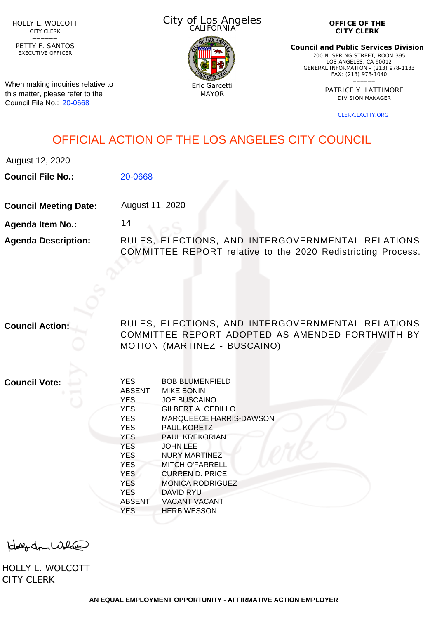HOLLY L. WOLCOTT CITY CLERK<br>—————

EXECUTIVE OFFICER PETTY F. SANTOS

When making inquiries relative to this matter, please refer to the Council File No.: [20-0668](http://cityclerk.lacity.org/lacityclerkconnect/index.cfm?fa=ccfi.viewrecord&cfnumber=20-0668)

City of Los Angeles CALIFORNIA



**OFFICE OF THE CITY CLERK**

**Council and Public Services Division** 200 N. SPRING STREET, ROOM 395 LOS ANGELES, CA 90012 GENERAL INFORMATION - (213) 978-1133 FAX: (213) 978-1040 \_\_\_\_\_\_

> PATRICE Y. LATTIMORE DIVISION MANAGER

> > [CLERK.LACITY.ORG](http://clerk.lacity.org)

## OFFICIAL ACTION OF THE LOS ANGELES CITY COUNCIL

August 12, 2020

**Council File No.:** [20-0668](http://cityclerk.lacity.org/lacityclerkconnect/index.cfm?fa=ccfi.viewrecord&cfnumber=20-0668)

**Council Meeting Date:** August 11, 2020

14

**Agenda Item No.:**

**Agenda Description:** RULES, ELECTIONS, AND INTERGOVERNMENTAL RELATIONS COMMITTEE REPORT relative to the 2020 Redistricting Process.

**Council Action:** RULES, ELECTIONS, AND INTERGOVERNMENTAL RELATIONS COMMITTEE REPORT ADOPTED AS AMENDED FORTHWITH BY MOTION (MARTINEZ - BUSCAINO)

**Council Vote:**

| <b>YES</b>    | <b>BOB BLUMENFIELD</b>         |
|---------------|--------------------------------|
| <b>ABSENT</b> | <b>MIKE BONIN</b>              |
| <b>YES</b>    | <b>JOE BUSCAINO</b>            |
| <b>YES</b>    | <b>GILBERT A. CEDILLO</b>      |
| <b>YES</b>    | <b>MARQUEECE HARRIS-DAWSON</b> |
| <b>YES</b>    | <b>PAUL KORETZ</b>             |
| <b>YES</b>    | <b>PAUL KREKORIAN</b>          |
| <b>YES</b>    | <b>JOHN LEE</b>                |
| <b>YES</b>    | NURY MARTINEZ                  |
| <b>YES</b>    | <b>MITCH O'FARRELL</b>         |
| <b>YES</b>    | CURREN D. PRICE                |
| <b>YES</b>    | <b>MONICA RODRIGUEZ</b>        |
| <b>YES</b>    | DAVID RYU                      |
| <b>ABSENT</b> | <b>VACANT VACANT</b>           |
| <b>YES</b>    | <b>HERB WESSON</b>             |
|               |                                |

olly John Wolder

HOLLY L. WOLCOTT CITY CLERK